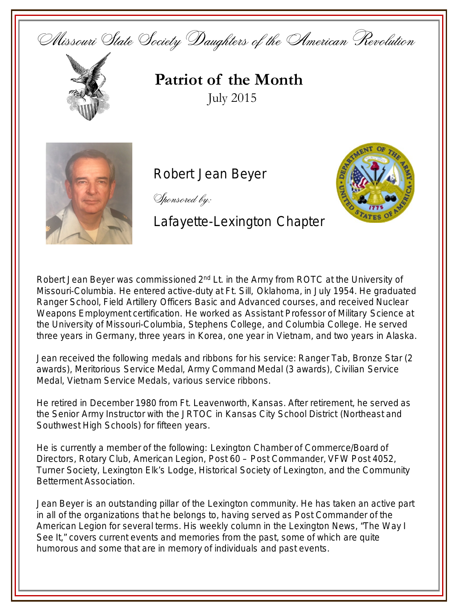Missouri State Society Daughters of the American Revolution



## **Patriot of the Month** July 2015



## Robert Jean Beyer

Sponsored by:

## Lafayette-Lexington Chapter

**Service** Emblem

Robert Jean Beyer was commissioned 2<sup>nd</sup> Lt. in the Army from ROTC at the University of Missouri-Columbia. He entered active-duty at Ft. Sill, Oklahoma, in July 1954. He graduated Ranger School, Field Artillery Officers Basic and Advanced courses, and received Nuclear Weapons Employment certification. He worked as Assistant Professor of Military Science at the University of Missouri-Columbia, Stephens College, and Columbia College. He served three years in Germany, three years in Korea, one year in Vietnam, and two years in Alaska.

Jean received the following medals and ribbons for his service: Ranger Tab, Bronze Star (2 awards), Meritorious Service Medal, Army Command Medal (3 awards), Civilian Service Medal, Vietnam Service Medals, various service ribbons.

He retired in December 1980 from Ft. Leavenworth, Kansas. After retirement, he served as the Senior Army Instructor with the JRTOC in Kansas City School District (Northeast and Southwest High Schools) for fifteen years.

He is currently a member of the following: Lexington Chamber of Commerce/Board of Directors, Rotary Club, American Legion, Post 60 – Post Commander, VFW Post 4052, Turner Society, Lexington Elk's Lodge, Historical Society of Lexington, and the Community Betterment Association.

Jean Beyer is an outstanding pillar of the Lexington community. He has taken an active part in all of the organizations that he belongs to, having served as Post Commander of the American Legion for several terms. His weekly column in the *Lexington News*, "The Way I See It," covers current events and memories from the past, some of which are quite humorous and some that are in memory of individuals and past events.